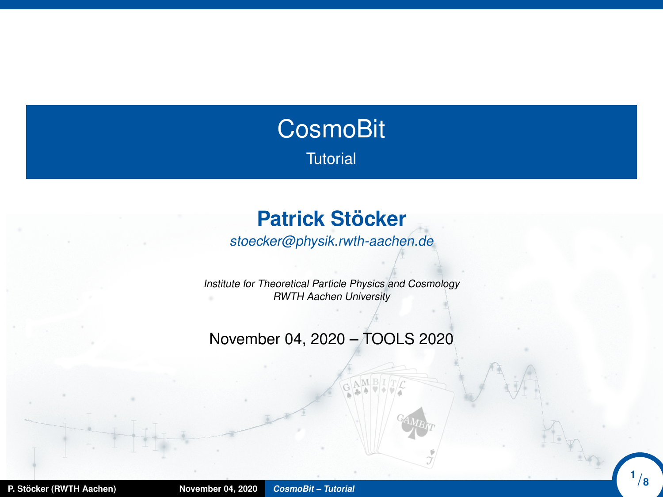# <span id="page-0-0"></span>**CosmoBit Tutorial**

## **Patrick Stöcker**

stoecker@physik.rwth-aachen.de

Institute for Theoretical Particle Physics and Cosmology RWTH Aachen University

November 04, 2020 – TOOLS 2020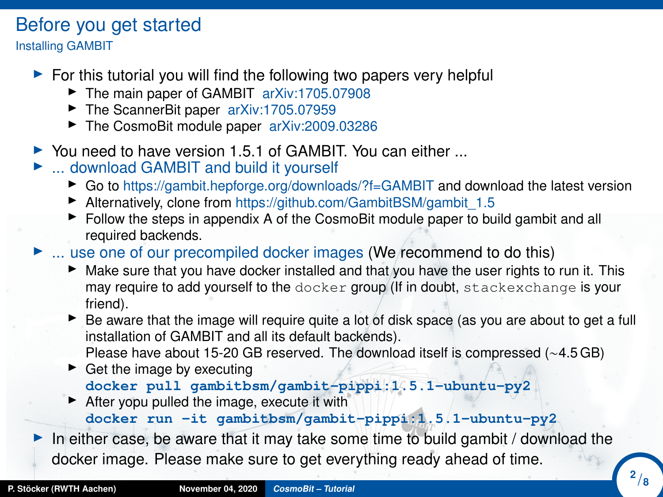# Before you get started

Installing GAMBIT

- $\triangleright$  For this tutorial you will find the following two papers very helpful
	- ▶ The main paper of GAMBIT [arXiv:1705.07908](https://arxiv.org/abs/1705.07908)
	- ▶ The ScannerBit paper [arXiv:1705.07959](https://arxiv.org/abs/1705.07959)
	- ▶ The CosmoBit module paper [arXiv:2009.03286](https://arxiv.org/abs/2009.03286)
- $\triangleright$  You need to have version 1.5.1 of GAMBIT. You can either ...
- ► ... download GAMBIT and build it yourself
	- ► Go to https://gambit.hepforge.org/downloads/?f=GAMBIT and download the latest version
	- $\blacktriangleright$  Alternatively, clone from https://github.com/GambitBSM/gambit\_1.5
	- $\blacktriangleright$  Follow the steps in appendix A of the CosmoBit module paper to build gambit and all required backends.
- $\blacktriangleright$  ... use one of our precompiled docker images (We recommend to do this)
	- $\blacktriangleright$  Make sure that you have docker installed and that you have the user rights to run it. This may require to add yourself to the docker group (If in doubt, stackexchange is your friend).
	- $\triangleright$  Be aware that the image will require quite a lot of disk space (as you are about to get a full installation of GAMBIT and all its default backends). Please have about 15-20 GB reserved. The download itself is compressed (∼4.5 GB)
	- $\blacktriangleright$  Get the image by executing **docker pull gambitbsm/gambit-pippi:1.5.1-ubuntu-py2**
	- $\blacktriangleright$  After yopu pulled the image, execute it with **docker run -it gambitbsm/gambit-pippi:1.5.1-ubuntu-py2**

In either case, be aware that it may take some time to build gambit / download the docker image. Please make sure to get everything ready ahead of time.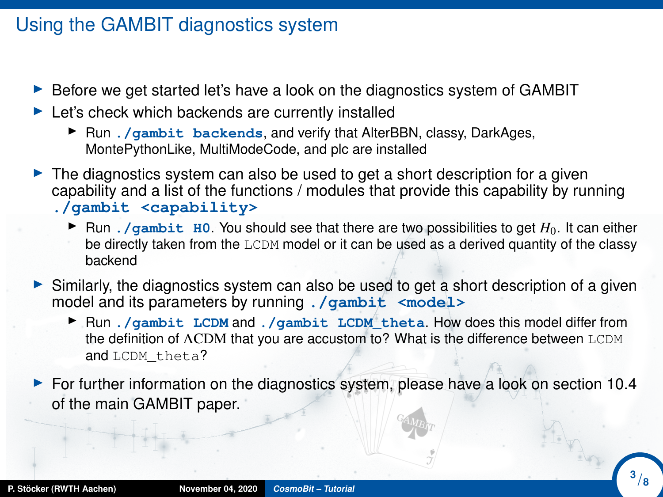### Using the GAMBIT diagnostics system

- $\triangleright$  Before we get started let's have a look on the diagnostics system of GAMBIT
- $\blacktriangleright$  Let's check which backends are currently installed
	- ▶ Run . / gambit backends, and verify that AlterBBN, classy, DarkAges, MontePythonLike, MultiModeCode, and plc are installed
- $\blacktriangleright$  The diagnostics system can also be used to get a short description for a given capability and a list of the functions / modules that provide this capability by running **./gambit <capability>**
	- In Run . /qambit H0. You should see that there are two possibilities to get  $H_0$ . It can either be directly taken from the LCDM model or it can be used as a derived quantity of the classy backend
- $\triangleright$  Similarly, the diagnostics system can also be used to get a short description of a given model and its parameters by running **./gambit <model>**
	- **I** Run *./gambit LCDM* and *./gambit LCDM* theta. How does this model differ from the definition of ΛCDM that you are accustom to? What is the difference between LCDM and LCDM theta?
- $\blacktriangleright$  For further information on the diagnostics system, please have a look on section 10.4 of the main GAMBIT paper.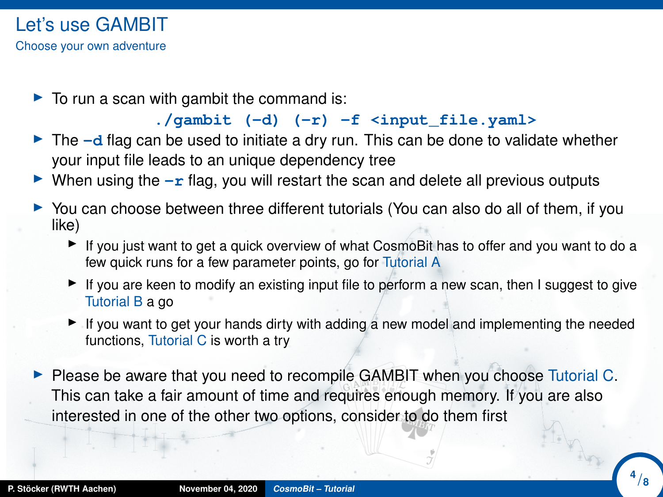$\triangleright$  To run a scan with gambit the command is:

#### **./gambit (-d) (-r) -f <input\_file.yaml>**

- $\triangleright$  The  $-d$  flag can be used to initiate a dry run. This can be done to validate whether your input file leads to an unique dependency tree
- I When using the  $-r$  flag, you will restart the scan and delete all previous outputs
- $\triangleright$  You can choose between three different tutorials (You can also do all of them, if you like)
	- If you just want to get a quick overview of what CosmoBit has to offer and you want to do a few quick runs for a few parameter points, go for Tutorial A
	- If you are keen to modify an existing input file to perform a new scan, then I suggest to give Tutorial B a go
	- If you want to get your hands dirty with adding a new model and implementing the needed functions, Tutorial C is worth a try
- $\blacktriangleright$  Please be aware that you need to recompile GAMBIT when you choose Tutorial C. This can take a fair amount of time and requires enough memory. If you are also interested in one of the other two options, consider to do them first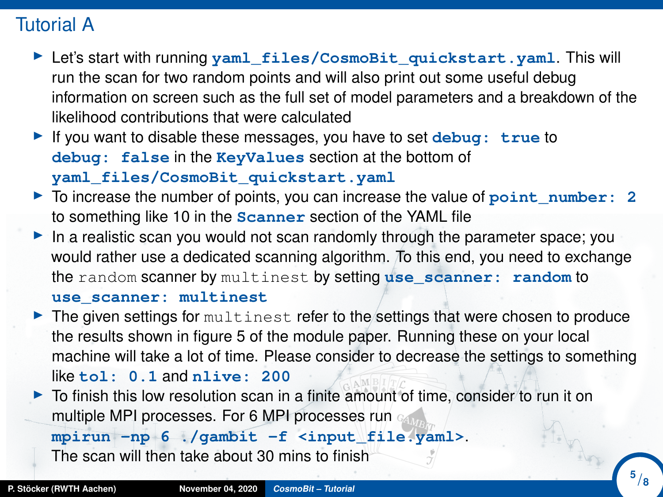## Tutorial A

- ▶ Let's start with running yaml\_files/CosmoBit\_quickstart.yaml. This will run the scan for two random points and will also print out some useful debug information on screen such as the full set of model parameters and a breakdown of the likelihood contributions that were calculated
- If you want to disable these messages, you have to set **debug:** true to **debug: false** in the **KeyValues** section at the bottom of **yaml\_files/CosmoBit\_quickstart.yaml**
- ► To increase the number of points, you can increase the value of point\_number: 2 to something like 10 in the **Scanner** section of the YAML file
- In a realistic scan you would not scan randomly through the parameter space; you would rather use a dedicated scanning algorithm. To this end, you need to exchange the random scanner by multinest by setting **use\_scanner: random** to **use\_scanner: multinest**

 $\blacktriangleright$  The given settings for multinest refer to the settings that were chosen to produce the results shown in figure 5 of the module paper. Running these on your local machine will take a lot of time. Please consider to decrease the settings to something like **tol: 0.1** and **nlive: 200**

 $\triangleright$  To finish this low resolution scan in a finite amount of time, consider to run it on multiple MPI processes. For 6 MPI processes run

**mpirun -np 6 ./gambit -f <input\_file.yaml>**.

The scan will then take about 30 mins to finish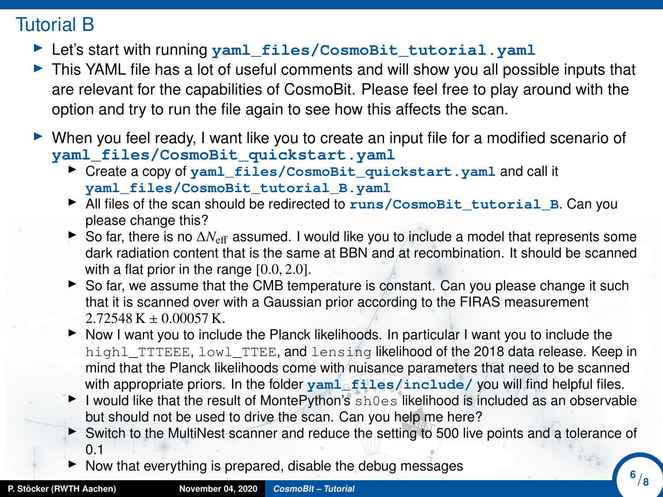## Tutorial B

- **I** Let's start with running yaml\_files/CosmoBit\_tutorial.yaml
- $\triangleright$  This YAML file has a lot of useful comments and will show you all possible inputs that are relevant for the capabilities of CosmoBit. Please feel free to play around with the option and try to run the file again to see how this affects the scan.
- $\triangleright$  When you feel ready, I want like you to create an input file for a modified scenario of **yaml\_files/CosmoBit\_quickstart.yaml**
	- ▶ Create a copy of yaml\_files/CosmoBit\_quickstart.yaml and call it **yaml\_files/CosmoBit\_tutorial\_B.yaml**
	- ▶ All files of the scan should be redirected to runs/CosmoBit\_tutorial\_B. Can you please change this?
	- ► So far, there is no  $\Delta N_{\text{eff}}$  assumed. I would like you to include a model that represents some dark radiation content that is the same at BBN and at recombination. It should be scanned with a flat prior in the range  $[0.0, 2.0]$ .
	- with a flat prior in the range [0.0, 2.0].<br>► So far, we assume that the CMB temperature is constant. Can you please change it such that it is scanned over with a Gaussian prior according to the FIRAS measurement
	- <sup>2</sup>.72548 K <sup>±</sup> <sup>0</sup>.00057 K. I Now I want you to include the Planck likelihoods. In particular I want you to include the highl\_TTTEEE, lowl\_TTEE, and lensing likelihood of the 2018 data release. Keep in mind that the Planck likelihoods come with nuisance parameters that need to be scanned with appropriate priors. In the folder  $\text{yam1}_f$  files/include/ you will find helpful files.
	- I would like that the result of MontePython's  $sh0es$  likelihood is included as an observable but should not be used to drive the scan. Can you help me here?
	- ► Switch to the MultiNest scanner and reduce the setting to 500 live points and a tolerance of 0.1
	- $\triangleright$  Now that everything is prepared, disable the debug messages

**6** /**8**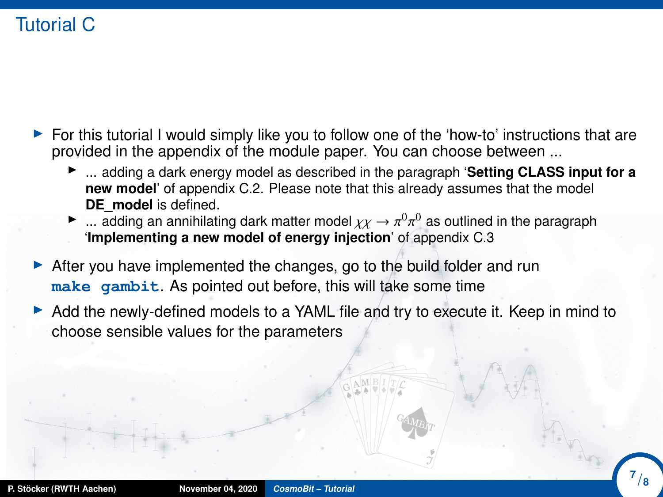## Tutorial C

- $\triangleright$  For this tutorial I would simply like you to follow one of the 'how-to' instructions that are provided in the appendix of the module paper. You can choose between ...
	- ► ... adding a dark energy model as described in the paragraph 'Setting CLASS input for a **new model**' of appendix C.2. Please note that this already assumes that the model **DE\_model** is defined.
	- **■** ... adding an annihilating dark matter model  $χγ → π<sup>0</sup>π<sup>0</sup>$  as outlined in the paragraph **implementing a new model of energy injection** of appendix C 3 π '**Implementing a new model of energy injection**' of appendix C.3
- $\triangleright$  After you have implemented the changes, go to the build folder and run **make gambit**. As pointed out before, this will take some time
- $\triangleright$  Add the newly-defined models to a YAML file and try to execute it. Keep in mind to choose sensible values for the parameters